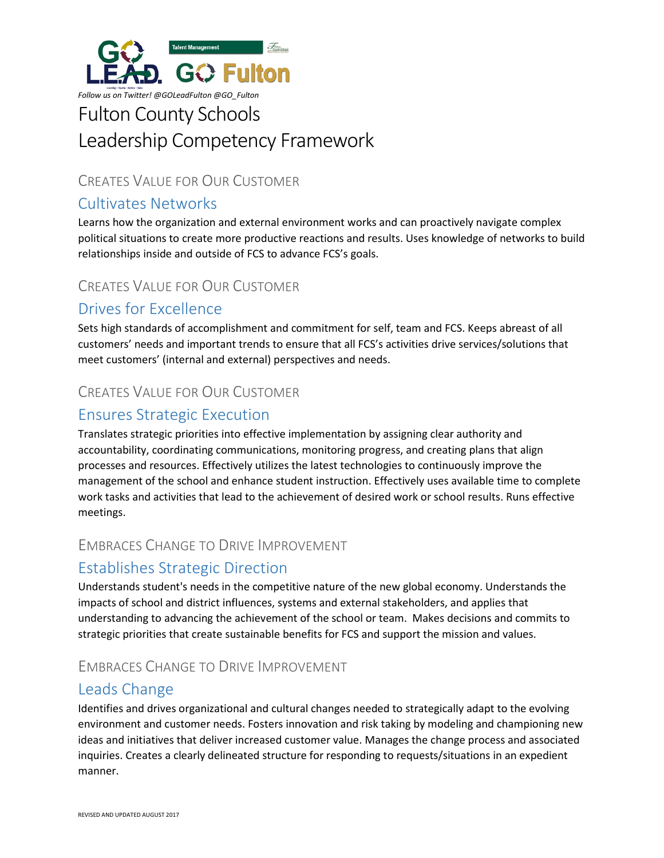

# Fulton County Schools Leadership Competency Framework

## CREATES VALUE FOR OUR CUSTOMER

## Cultivates Networks

Learns how the organization and external environment works and can proactively navigate complex political situations to create more productive reactions and results. Uses knowledge of networks to build relationships inside and outside of FCS to advance FCS's goals.

#### CREATES VALUE FOR OUR CUSTOMER

## Drives for Excellence

Sets high standards of accomplishment and commitment for self, team and FCS. Keeps abreast of all customers' needs and important trends to ensure that all FCS's activities drive services/solutions that meet customers' (internal and external) perspectives and needs.

### CREATES VALUE FOR OUR CUSTOMER

### Ensures Strategic Execution

Translates strategic priorities into effective implementation by assigning clear authority and accountability, coordinating communications, monitoring progress, and creating plans that align processes and resources. Effectively utilizes the latest technologies to continuously improve the management of the school and enhance student instruction. Effectively uses available time to complete work tasks and activities that lead to the achievement of desired work or school results. Runs effective meetings.

#### EMBRACES CHANGE TO DRIVE IMPROVEMENT

## Establishes Strategic Direction

Understands student's needs in the competitive nature of the new global economy. Understands the impacts of school and district influences, systems and external stakeholders, and applies that understanding to advancing the achievement of the school or team. Makes decisions and commits to strategic priorities that create sustainable benefits for FCS and support the mission and values.

## EMBRACES CHANGE TO DRIVE IMPROVEMENT

## Leads Change

Identifies and drives organizational and cultural changes needed to strategically adapt to the evolving environment and customer needs. Fosters innovation and risk taking by modeling and championing new ideas and initiatives that deliver increased customer value. Manages the change process and associated inquiries. Creates a clearly delineated structure for responding to requests/situations in an expedient manner.